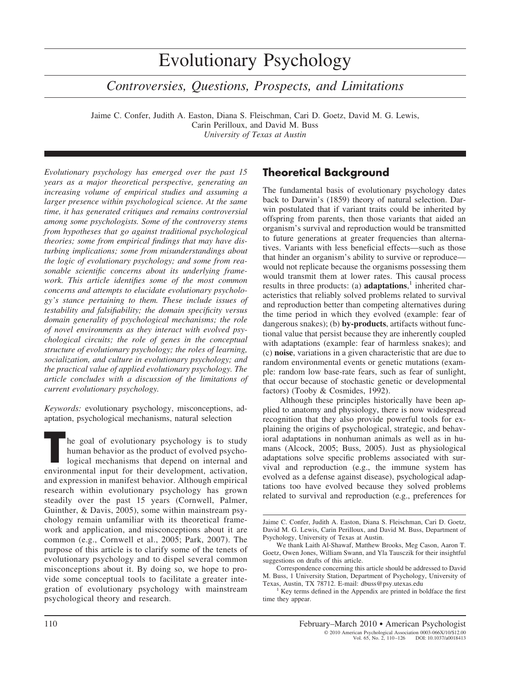# Evolutionary Psychology

## *Controversies, Questions, Prospects, and Limitations*

Jaime C. Confer, Judith A. Easton, Diana S. Fleischman, Cari D. Goetz, David M. G. Lewis, Carin Perilloux, and David M. Buss *University of Texas at Austin*

*Evolutionary psychology has emerged over the past 15 years as a major theoretical perspective, generating an increasing volume of empirical studies and assuming a larger presence within psychological science. At the same time, it has generated critiques and remains controversial among some psychologists. Some of the controversy stems from hypotheses that go against traditional psychological theories; some from empirical findings that may have disturbing implications; some from misunderstandings about the logic of evolutionary psychology; and some from reasonable scientific concerns about its underlying framework. This article identifies some of the most common concerns and attempts to elucidate evolutionary psychology's stance pertaining to them. These include issues of testability and falsifiability; the domain specificity versus domain generality of psychological mechanisms; the role of novel environments as they interact with evolved psychological circuits; the role of genes in the conceptual structure of evolutionary psychology; the roles of learning, socialization, and culture in evolutionary psychology; and the practical value of applied evolutionary psychology. The article concludes with a discussion of the limitations of current evolutionary psychology.*

*Keywords:* evolutionary psychology, misconceptions, adaptation, psychological mechanisms, natural selection

he goal of evolutionary psychology is to study human behavior as the product of evolved psychological mechanisms that depend on internal and environmental input for their development, activation, and expression in manifest behavior. Although empirical research within evolutionary psychology has grown steadily over the past 15 years (Cornwell, Palmer, Guinther, & Davis, 2005), some within mainstream psychology remain unfamiliar with its theoretical framework and application, and misconceptions about it are common (e.g., Cornwell et al., 2005; Park, 2007). The purpose of this article is to clarify some of the tenets of evolutionary psychology and to dispel several common misconceptions about it. By doing so, we hope to provide some conceptual tools to facilitate a greater integration of evolutionary psychology with mainstream psychological theory and research.

### **Theoretical Background**

The fundamental basis of evolutionary psychology dates back to Darwin's (1859) theory of natural selection. Darwin postulated that if variant traits could be inherited by offspring from parents, then those variants that aided an organism's survival and reproduction would be transmitted to future generations at greater frequencies than alternatives. Variants with less beneficial effects—such as those that hinder an organism's ability to survive or reproduce would not replicate because the organisms possessing them would transmit them at lower rates. This causal process results in three products: (a) **adaptations**, <sup>1</sup> inherited characteristics that reliably solved problems related to survival and reproduction better than competing alternatives during the time period in which they evolved (example: fear of dangerous snakes); (b) **by-products**, artifacts without functional value that persist because they are inherently coupled with adaptations (example: fear of harmless snakes); and (c) **noise**, variations in a given characteristic that are due to random environmental events or genetic mutations (example: random low base-rate fears, such as fear of sunlight, that occur because of stochastic genetic or developmental factors) (Tooby & Cosmides, 1992).

Although these principles historically have been applied to anatomy and physiology, there is now widespread recognition that they also provide powerful tools for explaining the origins of psychological, strategic, and behavioral adaptations in nonhuman animals as well as in humans (Alcock, 2005; Buss, 2005). Just as physiological adaptations solve specific problems associated with survival and reproduction (e.g., the immune system has evolved as a defense against disease), psychological adaptations too have evolved because they solved problems related to survival and reproduction (e.g., preferences for

Jaime C. Confer, Judith A. Easton, Diana S. Fleischman, Cari D. Goetz, David M. G. Lewis, Carin Perilloux, and David M. Buss, Department of Psychology, University of Texas at Austin.

We thank Laith Al-Shawaf, Matthew Brooks, Meg Cason, Aaron T. Goetz, Owen Jones, William Swann, and Yla Tausczik for their insightful suggestions on drafts of this article.

Correspondence concerning this article should be addressed to David M. Buss, 1 University Station, Department of Psychology, University of Texas, Austin, TX 78712. E-mail: dbuss@psy.utexas.edu

 $1$  Key terms defined in the Appendix are printed in boldface the first time they appear.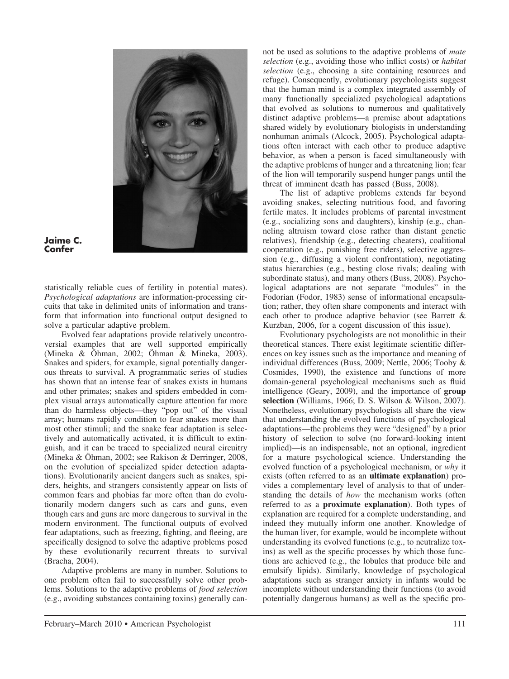

#### **Jaime C. Confer**

statistically reliable cues of fertility in potential mates). *Psychological adaptations* are information-processing circuits that take in delimited units of information and transform that information into functional output designed to solve a particular adaptive problem.

Evolved fear adaptations provide relatively uncontroversial examples that are well supported empirically (Mineka & Öhman, 2002; Öhman & Mineka, 2003). Snakes and spiders, for example, signal potentially dangerous threats to survival. A programmatic series of studies has shown that an intense fear of snakes exists in humans and other primates; snakes and spiders embedded in complex visual arrays automatically capture attention far more than do harmless objects—they "pop out" of the visual array; humans rapidly condition to fear snakes more than most other stimuli; and the snake fear adaptation is selectively and automatically activated, it is difficult to extinguish, and it can be traced to specialized neural circuitry (Mineka & Öhman, 2002; see Rakison & Derringer, 2008, on the evolution of specialized spider detection adaptations). Evolutionarily ancient dangers such as snakes, spiders, heights, and strangers consistently appear on lists of common fears and phobias far more often than do evolutionarily modern dangers such as cars and guns, even though cars and guns are more dangerous to survival in the modern environment. The functional outputs of evolved fear adaptations, such as freezing, fighting, and fleeing, are specifically designed to solve the adaptive problems posed by these evolutionarily recurrent threats to survival (Bracha, 2004).

Adaptive problems are many in number. Solutions to one problem often fail to successfully solve other problems. Solutions to the adaptive problems of *food selection* (e.g., avoiding substances containing toxins) generally cannot be used as solutions to the adaptive problems of *mate selection* (e.g., avoiding those who inflict costs) or *habitat selection* (e.g., choosing a site containing resources and refuge). Consequently, evolutionary psychologists suggest that the human mind is a complex integrated assembly of many functionally specialized psychological adaptations that evolved as solutions to numerous and qualitatively distinct adaptive problems—a premise about adaptations shared widely by evolutionary biologists in understanding nonhuman animals (Alcock, 2005). Psychological adaptations often interact with each other to produce adaptive behavior, as when a person is faced simultaneously with the adaptive problems of hunger and a threatening lion; fear of the lion will temporarily suspend hunger pangs until the threat of imminent death has passed (Buss, 2008).

The list of adaptive problems extends far beyond avoiding snakes, selecting nutritious food, and favoring fertile mates. It includes problems of parental investment (e.g., socializing sons and daughters), kinship (e.g., channeling altruism toward close rather than distant genetic relatives), friendship (e.g., detecting cheaters), coalitional cooperation (e.g., punishing free riders), selective aggression (e.g., diffusing a violent confrontation), negotiating status hierarchies (e.g., besting close rivals; dealing with subordinate status), and many others (Buss, 2008). Psychological adaptations are not separate "modules" in the Fodorian (Fodor, 1983) sense of informational encapsulation; rather, they often share components and interact with each other to produce adaptive behavior (see Barrett & Kurzban, 2006, for a cogent discussion of this issue).

Evolutionary psychologists are not monolithic in their theoretical stances. There exist legitimate scientific differences on key issues such as the importance and meaning of individual differences (Buss, 2009; Nettle, 2006; Tooby & Cosmides, 1990), the existence and functions of more domain-general psychological mechanisms such as fluid intelligence (Geary, 2009), and the importance of **group selection** (Williams, 1966; D. S. Wilson & Wilson, 2007). Nonetheless, evolutionary psychologists all share the view that understanding the evolved functions of psychological adaptations—the problems they were "designed" by a prior history of selection to solve (no forward-looking intent implied)—is an indispensable, not an optional, ingredient for a mature psychological science. Understanding the evolved function of a psychological mechanism, or *why* it exists (often referred to as an **ultimate explanation**) provides a complementary level of analysis to that of understanding the details of *how* the mechanism works (often referred to as a **proximate explanation**). Both types of explanation are required for a complete understanding, and indeed they mutually inform one another. Knowledge of the human liver, for example, would be incomplete without understanding its evolved functions (e.g., to neutralize toxins) as well as the specific processes by which those functions are achieved (e.g., the lobules that produce bile and emulsify lipids). Similarly, knowledge of psychological adaptations such as stranger anxiety in infants would be incomplete without understanding their functions (to avoid potentially dangerous humans) as well as the specific pro-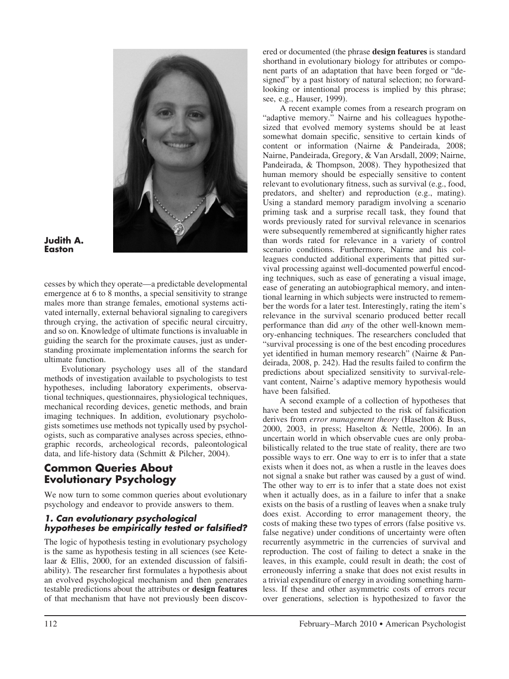

**Judith A. Easton**

cesses by which they operate—a predictable developmental emergence at 6 to 8 months, a special sensitivity to strange males more than strange females, emotional systems activated internally, external behavioral signaling to caregivers through crying, the activation of specific neural circuitry, and so on. Knowledge of ultimate functions is invaluable in guiding the search for the proximate causes, just as understanding proximate implementation informs the search for ultimate function.

Evolutionary psychology uses all of the standard methods of investigation available to psychologists to test hypotheses, including laboratory experiments, observational techniques, questionnaires, physiological techniques, mechanical recording devices, genetic methods, and brain imaging techniques. In addition, evolutionary psychologists sometimes use methods not typically used by psychologists, such as comparative analyses across species, ethnographic records, archeological records, paleontological data, and life-history data (Schmitt & Pilcher, 2004).

### **Common Queries About Evolutionary Psychology**

We now turn to some common queries about evolutionary psychology and endeavor to provide answers to them.

#### *1. Can evolutionary psychological hypotheses be empirically tested or falsified?*

The logic of hypothesis testing in evolutionary psychology is the same as hypothesis testing in all sciences (see Ketelaar & Ellis, 2000, for an extended discussion of falsifiability). The researcher first formulates a hypothesis about an evolved psychological mechanism and then generates testable predictions about the attributes or **design features** of that mechanism that have not previously been discovered or documented (the phrase **design features** is standard shorthand in evolutionary biology for attributes or component parts of an adaptation that have been forged or "designed" by a past history of natural selection; no forwardlooking or intentional process is implied by this phrase; see, e.g., Hauser, 1999).

A recent example comes from a research program on "adaptive memory." Nairne and his colleagues hypothesized that evolved memory systems should be at least somewhat domain specific, sensitive to certain kinds of content or information (Nairne & Pandeirada, 2008; Nairne, Pandeirada, Gregory, & Van Arsdall, 2009; Nairne, Pandeirada, & Thompson, 2008). They hypothesized that human memory should be especially sensitive to content relevant to evolutionary fitness, such as survival (e.g., food, predators, and shelter) and reproduction (e.g., mating). Using a standard memory paradigm involving a scenario priming task and a surprise recall task, they found that words previously rated for survival relevance in scenarios were subsequently remembered at significantly higher rates than words rated for relevance in a variety of control scenario conditions. Furthermore, Nairne and his colleagues conducted additional experiments that pitted survival processing against well-documented powerful encoding techniques, such as ease of generating a visual image, ease of generating an autobiographical memory, and intentional learning in which subjects were instructed to remember the words for a later test. Interestingly, rating the item's relevance in the survival scenario produced better recall performance than did *any* of the other well-known memory-enhancing techniques. The researchers concluded that "survival processing is one of the best encoding procedures yet identified in human memory research" (Nairne & Pandeirada, 2008, p. 242). Had the results failed to confirm the predictions about specialized sensitivity to survival-relevant content, Nairne's adaptive memory hypothesis would have been falsified.

A second example of a collection of hypotheses that have been tested and subjected to the risk of falsification derives from *error management theory* (Haselton & Buss, 2000, 2003, in press; Haselton & Nettle, 2006). In an uncertain world in which observable cues are only probabilistically related to the true state of reality, there are two possible ways to err. One way to err is to infer that a state exists when it does not, as when a rustle in the leaves does not signal a snake but rather was caused by a gust of wind. The other way to err is to infer that a state does not exist when it actually does, as in a failure to infer that a snake exists on the basis of a rustling of leaves when a snake truly does exist. According to error management theory, the costs of making these two types of errors (false positive vs. false negative) under conditions of uncertainty were often recurrently asymmetric in the currencies of survival and reproduction. The cost of failing to detect a snake in the leaves, in this example, could result in death; the cost of erroneously inferring a snake that does not exist results in a trivial expenditure of energy in avoiding something harmless. If these and other asymmetric costs of errors recur over generations, selection is hypothesized to favor the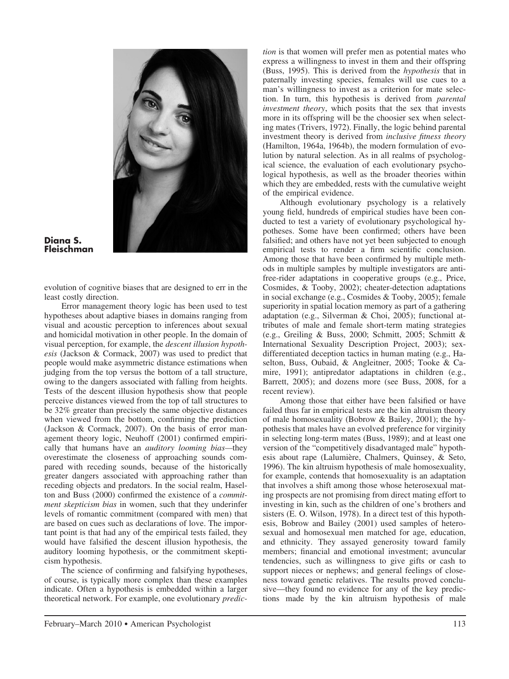

**Diana S. Fleischman**

evolution of cognitive biases that are designed to err in the least costly direction.

Error management theory logic has been used to test hypotheses about adaptive biases in domains ranging from visual and acoustic perception to inferences about sexual and homicidal motivation in other people. In the domain of visual perception, for example, the *descent illusion hypothesis* (Jackson & Cormack, 2007) was used to predict that people would make asymmetric distance estimations when judging from the top versus the bottom of a tall structure, owing to the dangers associated with falling from heights. Tests of the descent illusion hypothesis show that people perceive distances viewed from the top of tall structures to be 32% greater than precisely the same objective distances when viewed from the bottom, confirming the prediction (Jackson & Cormack, 2007). On the basis of error management theory logic, Neuhoff (2001) confirmed empirically that humans have an *auditory looming bias—*they overestimate the closeness of approaching sounds compared with receding sounds, because of the historically greater dangers associated with approaching rather than receding objects and predators. In the social realm, Haselton and Buss (2000) confirmed the existence of a *commitment skepticism bias* in women, such that they underinfer levels of romantic commitment (compared with men) that are based on cues such as declarations of love. The important point is that had any of the empirical tests failed, they would have falsified the descent illusion hypothesis, the auditory looming hypothesis, or the commitment skepticism hypothesis.

The science of confirming and falsifying hypotheses, of course, is typically more complex than these examples indicate. Often a hypothesis is embedded within a larger theoretical network. For example, one evolutionary *predic-* *tion* is that women will prefer men as potential mates who express a willingness to invest in them and their offspring (Buss, 1995). This is derived from the *hypothesis* that in paternally investing species, females will use cues to a man's willingness to invest as a criterion for mate selection. In turn, this hypothesis is derived from *parental investment theory*, which posits that the sex that invests more in its offspring will be the choosier sex when selecting mates (Trivers, 1972). Finally, the logic behind parental investment theory is derived from *inclusive fitness theory* (Hamilton, 1964a, 1964b), the modern formulation of evolution by natural selection. As in all realms of psychological science, the evaluation of each evolutionary psychological hypothesis, as well as the broader theories within which they are embedded, rests with the cumulative weight of the empirical evidence.

Although evolutionary psychology is a relatively young field, hundreds of empirical studies have been conducted to test a variety of evolutionary psychological hypotheses. Some have been confirmed; others have been falsified; and others have not yet been subjected to enough empirical tests to render a firm scientific conclusion. Among those that have been confirmed by multiple methods in multiple samples by multiple investigators are antifree-rider adaptations in cooperative groups (e.g., Price, Cosmides, & Tooby, 2002); cheater-detection adaptations in social exchange (e.g., Cosmides & Tooby, 2005); female superiority in spatial location memory as part of a gathering adaptation (e.g., Silverman & Choi, 2005); functional attributes of male and female short-term mating strategies (e.g., Greiling & Buss, 2000; Schmitt, 2005; Schmitt & International Sexuality Description Project, 2003); sexdifferentiated deception tactics in human mating (e.g., Haselton, Buss, Oubaid, & Angleitner, 2005; Tooke & Camire, 1991); antipredator adaptations in children (e.g., Barrett, 2005); and dozens more (see Buss, 2008, for a recent review).

Among those that either have been falsified or have failed thus far in empirical tests are the kin altruism theory of male homosexuality (Bobrow & Bailey, 2001); the hypothesis that males have an evolved preference for virginity in selecting long-term mates (Buss, 1989); and at least one version of the "competitively disadvantaged male" hypothesis about rape (Lalumière, Chalmers, Quinsey, & Seto, 1996). The kin altruism hypothesis of male homosexuality, for example, contends that homosexuality is an adaptation that involves a shift among those whose heterosexual mating prospects are not promising from direct mating effort to investing in kin, such as the children of one's brothers and sisters (E. O. Wilson, 1978). In a direct test of this hypothesis, Bobrow and Bailey (2001) used samples of heterosexual and homosexual men matched for age, education, and ethnicity. They assayed generosity toward family members; financial and emotional investment; avuncular tendencies, such as willingness to give gifts or cash to support nieces or nephews; and general feelings of closeness toward genetic relatives. The results proved conclusive—they found no evidence for any of the key predictions made by the kin altruism hypothesis of male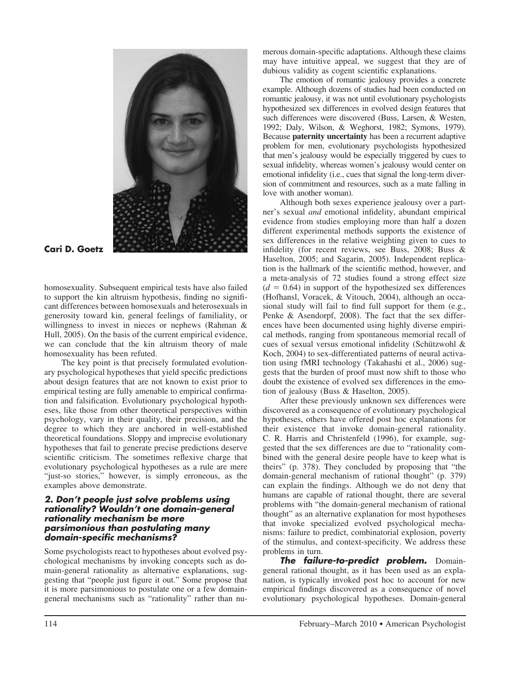

**Cari D. Goetz**

homosexuality. Subsequent empirical tests have also failed to support the kin altruism hypothesis, finding no significant differences between homosexuals and heterosexuals in generosity toward kin, general feelings of familiality, or willingness to invest in nieces or nephews (Rahman & Hull, 2005). On the basis of the current empirical evidence, we can conclude that the kin altruism theory of male homosexuality has been refuted.

The key point is that precisely formulated evolutionary psychological hypotheses that yield specific predictions about design features that are not known to exist prior to empirical testing are fully amenable to empirical confirmation and falsification. Evolutionary psychological hypotheses, like those from other theoretical perspectives within psychology, vary in their quality, their precision, and the degree to which they are anchored in well-established theoretical foundations. Sloppy and imprecise evolutionary hypotheses that fail to generate precise predictions deserve scientific criticism. The sometimes reflexive charge that evolutionary psychological hypotheses as a rule are mere "just-so stories," however, is simply erroneous, as the examples above demonstrate.

#### *2. Don't people just solve problems using rationality? Wouldn't one domain-general rationality mechanism be more parsimonious than postulating many domain-specific mechanisms?*

Some psychologists react to hypotheses about evolved psychological mechanisms by invoking concepts such as domain-general rationality as alternative explanations, suggesting that "people just figure it out." Some propose that it is more parsimonious to postulate one or a few domaingeneral mechanisms such as "rationality" rather than numerous domain-specific adaptations. Although these claims may have intuitive appeal, we suggest that they are of dubious validity as cogent scientific explanations.

The emotion of romantic jealousy provides a concrete example. Although dozens of studies had been conducted on romantic jealousy, it was not until evolutionary psychologists hypothesized sex differences in evolved design features that such differences were discovered (Buss, Larsen, & Westen, 1992; Daly, Wilson, & Weghorst, 1982; Symons, 1979). Because **paternity uncertainty** has been a recurrent adaptive problem for men, evolutionary psychologists hypothesized that men's jealousy would be especially triggered by cues to sexual infidelity, whereas women's jealousy would center on emotional infidelity (i.e., cues that signal the long-term diversion of commitment and resources, such as a mate falling in love with another woman).

Although both sexes experience jealousy over a partner's sexual *and* emotional infidelity, abundant empirical evidence from studies employing more than half a dozen different experimental methods supports the existence of sex differences in the relative weighting given to cues to infidelity (for recent reviews, see Buss, 2008; Buss & Haselton, 2005; and Sagarin, 2005). Independent replication is the hallmark of the scientific method, however, and a meta-analysis of 72 studies found a strong effect size  $(d = 0.64)$  in support of the hypothesized sex differences (Hofhansl, Voracek, & Vitouch, 2004), although an occasional study will fail to find full support for them (e.g., Penke & Asendorpf, 2008). The fact that the sex differences have been documented using highly diverse empirical methods, ranging from spontaneous memorial recall of cues of sexual versus emotional infidelity (Schützwohl  $\&$ Koch, 2004) to sex-differentiated patterns of neural activation using fMRI technology (Takahashi et al., 2006) suggests that the burden of proof must now shift to those who doubt the existence of evolved sex differences in the emotion of jealousy (Buss & Haselton, 2005).

After these previously unknown sex differences were discovered as a consequence of evolutionary psychological hypotheses, others have offered post hoc explanations for their existence that invoke domain-general rationality. C. R. Harris and Christenfeld (1996), for example, suggested that the sex differences are due to "rationality combined with the general desire people have to keep what is theirs" (p. 378). They concluded by proposing that "the domain-general mechanism of rational thought" (p. 379) can explain the findings. Although we do not deny that humans are capable of rational thought, there are several problems with "the domain-general mechanism of rational thought" as an alternative explanation for most hypotheses that invoke specialized evolved psychological mechanisms: failure to predict, combinatorial explosion, poverty of the stimulus, and context-specificity. We address these problems in turn.

*The failure-to-predict problem.* Domaingeneral rational thought, as it has been used as an explanation, is typically invoked post hoc to account for new empirical findings discovered as a consequence of novel evolutionary psychological hypotheses. Domain-general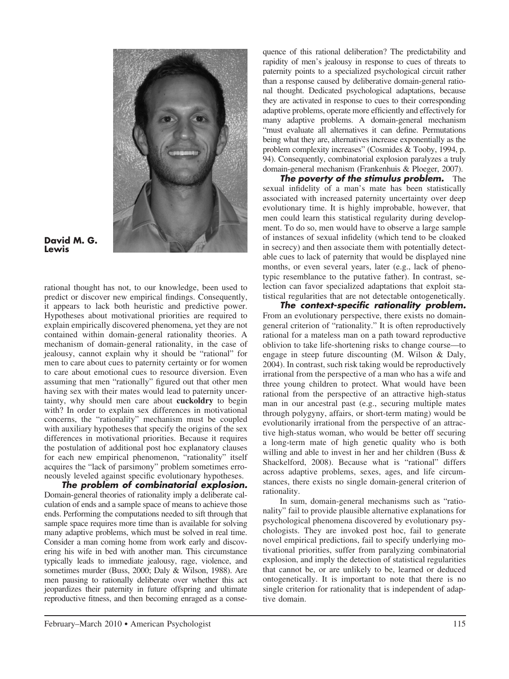

**David M. G. Lewis**

rational thought has not, to our knowledge, been used to predict or discover new empirical findings. Consequently, it appears to lack both heuristic and predictive power. Hypotheses about motivational priorities are required to explain empirically discovered phenomena, yet they are not contained within domain-general rationality theories. A mechanism of domain-general rationality, in the case of jealousy, cannot explain why it should be "rational" for men to care about cues to paternity certainty or for women to care about emotional cues to resource diversion. Even assuming that men "rationally" figured out that other men having sex with their mates would lead to paternity uncertainty, why should men care about **cuckoldry** to begin with? In order to explain sex differences in motivational concerns, the "rationality" mechanism must be coupled with auxiliary hypotheses that specify the origins of the sex differences in motivational priorities. Because it requires the postulation of additional post hoc explanatory clauses for each new empirical phenomenon, "rationality" itself acquires the "lack of parsimony" problem sometimes erroneously leveled against specific evolutionary hypotheses.

*The problem of combinatorial explosion.* Domain-general theories of rationality imply a deliberate calculation of ends and a sample space of means to achieve those ends. Performing the computations needed to sift through that sample space requires more time than is available for solving many adaptive problems, which must be solved in real time. Consider a man coming home from work early and discovering his wife in bed with another man. This circumstance typically leads to immediate jealousy, rage, violence, and sometimes murder (Buss, 2000; Daly & Wilson, 1988). Are men pausing to rationally deliberate over whether this act jeopardizes their paternity in future offspring and ultimate reproductive fitness, and then becoming enraged as a consequence of this rational deliberation? The predictability and rapidity of men's jealousy in response to cues of threats to paternity points to a specialized psychological circuit rather than a response caused by deliberative domain-general rational thought. Dedicated psychological adaptations, because they are activated in response to cues to their corresponding adaptive problems, operate more efficiently and effectively for many adaptive problems. A domain-general mechanism "must evaluate all alternatives it can define. Permutations being what they are, alternatives increase exponentially as the problem complexity increases" (Cosmides & Tooby, 1994, p. 94). Consequently, combinatorial explosion paralyzes a truly domain-general mechanism (Frankenhuis & Ploeger, 2007).

*The poverty of the stimulus problem.* The sexual infidelity of a man's mate has been statistically associated with increased paternity uncertainty over deep evolutionary time. It is highly improbable, however, that men could learn this statistical regularity during development. To do so, men would have to observe a large sample of instances of sexual infidelity (which tend to be cloaked in secrecy) and then associate them with potentially detectable cues to lack of paternity that would be displayed nine months, or even several years, later (e.g., lack of phenotypic resemblance to the putative father). In contrast, selection can favor specialized adaptations that exploit statistical regularities that are not detectable ontogenetically.

*The context-specific rationality problem.* From an evolutionary perspective, there exists no domaingeneral criterion of "rationality." It is often reproductively rational for a mateless man on a path toward reproductive oblivion to take life-shortening risks to change course—to engage in steep future discounting (M. Wilson & Daly, 2004). In contrast, such risk taking would be reproductively irrational from the perspective of a man who has a wife and three young children to protect. What would have been rational from the perspective of an attractive high-status man in our ancestral past (e.g., securing multiple mates through polygyny, affairs, or short-term mating) would be evolutionarily irrational from the perspective of an attractive high-status woman, who would be better off securing a long-term mate of high genetic quality who is both willing and able to invest in her and her children (Buss & Shackelford, 2008). Because what is "rational" differs across adaptive problems, sexes, ages, and life circumstances, there exists no single domain-general criterion of rationality.

In sum, domain-general mechanisms such as "rationality" fail to provide plausible alternative explanations for psychological phenomena discovered by evolutionary psychologists. They are invoked post hoc, fail to generate novel empirical predictions, fail to specify underlying motivational priorities, suffer from paralyzing combinatorial explosion, and imply the detection of statistical regularities that cannot be, or are unlikely to be, learned or deduced ontogenetically. It is important to note that there is no single criterion for rationality that is independent of adaptive domain.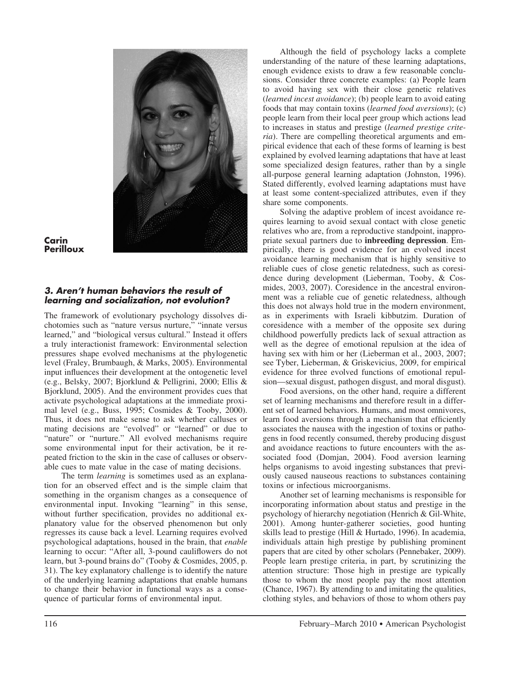

#### **Carin Perilloux**

#### *3. Aren't human behaviors the result of learning and socialization, not evolution?*

The framework of evolutionary psychology dissolves dichotomies such as "nature versus nurture," "innate versus learned," and "biological versus cultural." Instead it offers a truly interactionist framework: Environmental selection pressures shape evolved mechanisms at the phylogenetic level (Fraley, Brumbaugh, & Marks, 2005). Environmental input influences their development at the ontogenetic level (e.g., Belsky, 2007; Bjorklund & Pelligrini, 2000; Ellis & Bjorklund, 2005). And the environment provides cues that activate psychological adaptations at the immediate proximal level (e.g., Buss, 1995; Cosmides & Tooby, 2000). Thus, it does not make sense to ask whether calluses or mating decisions are "evolved" or "learned" or due to "nature" or "nurture." All evolved mechanisms require some environmental input for their activation, be it repeated friction to the skin in the case of calluses or observable cues to mate value in the case of mating decisions.

The term *learning* is sometimes used as an explanation for an observed effect and is the simple claim that something in the organism changes as a consequence of environmental input. Invoking "learning" in this sense, without further specification, provides no additional explanatory value for the observed phenomenon but only regresses its cause back a level. Learning requires evolved psychological adaptations, housed in the brain, that *enable* learning to occur: "After all, 3-pound cauliflowers do not learn, but 3-pound brains do" (Tooby & Cosmides, 2005, p. 31). The key explanatory challenge is to identify the nature of the underlying learning adaptations that enable humans to change their behavior in functional ways as a consequence of particular forms of environmental input.

Although the field of psychology lacks a complete understanding of the nature of these learning adaptations, enough evidence exists to draw a few reasonable conclusions. Consider three concrete examples: (a) People learn to avoid having sex with their close genetic relatives (*learned incest avoidance*); (b) people learn to avoid eating foods that may contain toxins (*learned food aversions*); (c) people learn from their local peer group which actions lead to increases in status and prestige (*learned prestige criteria*). There are compelling theoretical arguments and empirical evidence that each of these forms of learning is best explained by evolved learning adaptations that have at least some specialized design features, rather than by a single all-purpose general learning adaptation (Johnston, 1996). Stated differently, evolved learning adaptations must have at least some content-specialized attributes, even if they share some components.

Solving the adaptive problem of incest avoidance requires learning to avoid sexual contact with close genetic relatives who are, from a reproductive standpoint, inappropriate sexual partners due to **inbreeding depression**. Empirically, there is good evidence for an evolved incest avoidance learning mechanism that is highly sensitive to reliable cues of close genetic relatedness, such as coresidence during development (Lieberman, Tooby, & Cosmides, 2003, 2007). Coresidence in the ancestral environment was a reliable cue of genetic relatedness, although this does not always hold true in the modern environment, as in experiments with Israeli kibbutzim. Duration of coresidence with a member of the opposite sex during childhood powerfully predicts lack of sexual attraction as well as the degree of emotional repulsion at the idea of having sex with him or her (Lieberman et al., 2003, 2007; see Tyber, Lieberman, & Griskevicius, 2009, for empirical evidence for three evolved functions of emotional repulsion—sexual disgust, pathogen disgust, and moral disgust).

Food aversions, on the other hand, require a different set of learning mechanisms and therefore result in a different set of learned behaviors. Humans, and most omnivores, learn food aversions through a mechanism that efficiently associates the nausea with the ingestion of toxins or pathogens in food recently consumed, thereby producing disgust and avoidance reactions to future encounters with the associated food (Domjan, 2004). Food aversion learning helps organisms to avoid ingesting substances that previously caused nauseous reactions to substances containing toxins or infectious microorganisms.

Another set of learning mechanisms is responsible for incorporating information about status and prestige in the psychology of hierarchy negotiation (Henrich & Gil-White, 2001). Among hunter-gatherer societies, good hunting skills lead to prestige (Hill & Hurtado, 1996). In academia, individuals attain high prestige by publishing prominent papers that are cited by other scholars (Pennebaker, 2009). People learn prestige criteria, in part, by scrutinizing the attention structure: Those high in prestige are typically those to whom the most people pay the most attention (Chance, 1967). By attending to and imitating the qualities, clothing styles, and behaviors of those to whom others pay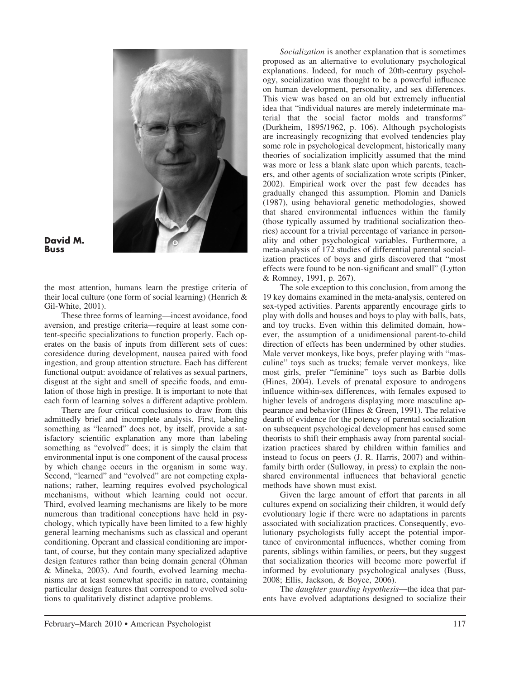

**David M. Buss**

the most attention, humans learn the prestige criteria of their local culture (one form of social learning) (Henrich & Gil-White, 2001).

These three forms of learning—incest avoidance, food aversion, and prestige criteria—require at least some content-specific specializations to function properly. Each operates on the basis of inputs from different sets of cues: coresidence during development, nausea paired with food ingestion, and group attention structure. Each has different functional output: avoidance of relatives as sexual partners, disgust at the sight and smell of specific foods, and emulation of those high in prestige. It is important to note that each form of learning solves a different adaptive problem.

There are four critical conclusions to draw from this admittedly brief and incomplete analysis. First, labeling something as "learned" does not, by itself, provide a satisfactory scientific explanation any more than labeling something as "evolved" does; it is simply the claim that environmental input is one component of the causal process by which change occurs in the organism in some way. Second, "learned" and "evolved" are not competing explanations; rather, learning requires evolved psychological mechanisms, without which learning could not occur. Third, evolved learning mechanisms are likely to be more numerous than traditional conceptions have held in psychology, which typically have been limited to a few highly general learning mechanisms such as classical and operant conditioning. Operant and classical conditioning are important, of course, but they contain many specialized adaptive design features rather than being domain general (Ohman & Mineka, 2003). And fourth, evolved learning mechanisms are at least somewhat specific in nature, containing particular design features that correspond to evolved solutions to qualitatively distinct adaptive problems.

*Socialization* is another explanation that is sometimes proposed as an alternative to evolutionary psychological explanations. Indeed, for much of 20th-century psychology, socialization was thought to be a powerful influence on human development, personality, and sex differences. This view was based on an old but extremely influential idea that "individual natures are merely indeterminate material that the social factor molds and transforms" (Durkheim, 1895/1962, p. 106). Although psychologists are increasingly recognizing that evolved tendencies play some role in psychological development, historically many theories of socialization implicitly assumed that the mind was more or less a blank slate upon which parents, teachers, and other agents of socialization wrote scripts (Pinker, 2002). Empirical work over the past few decades has gradually changed this assumption. Plomin and Daniels (1987), using behavioral genetic methodologies, showed that shared environmental influences within the family (those typically assumed by traditional socialization theories) account for a trivial percentage of variance in personality and other psychological variables. Furthermore, a meta-analysis of 172 studies of differential parental socialization practices of boys and girls discovered that "most effects were found to be non-significant and small" (Lytton & Romney, 1991, p. 267).

The sole exception to this conclusion, from among the 19 key domains examined in the meta-analysis, centered on sex-typed activities. Parents apparently encourage girls to play with dolls and houses and boys to play with balls, bats, and toy trucks. Even within this delimited domain, however, the assumption of a unidimensional parent-to-child direction of effects has been undermined by other studies. Male vervet monkeys, like boys, prefer playing with "masculine" toys such as trucks; female vervet monkeys, like most girls, prefer "feminine" toys such as Barbie dolls (Hines, 2004). Levels of prenatal exposure to androgens influence within-sex differences, with females exposed to higher levels of androgens displaying more masculine appearance and behavior (Hines & Green, 1991). The relative dearth of evidence for the potency of parental socialization on subsequent psychological development has caused some theorists to shift their emphasis away from parental socialization practices shared by children within families and instead to focus on peers (J. R. Harris, 2007) and withinfamily birth order (Sulloway, in press) to explain the nonshared environmental influences that behavioral genetic methods have shown must exist.

Given the large amount of effort that parents in all cultures expend on socializing their children, it would defy evolutionary logic if there were no adaptations in parents associated with socialization practices. Consequently, evolutionary psychologists fully accept the potential importance of environmental influences, whether coming from parents, siblings within families, or peers, but they suggest that socialization theories will become more powerful if informed by evolutionary psychological analyses (Buss, 2008; Ellis, Jackson, & Boyce, 2006).

The *daughter guarding hypothesis*—the idea that parents have evolved adaptations designed to socialize their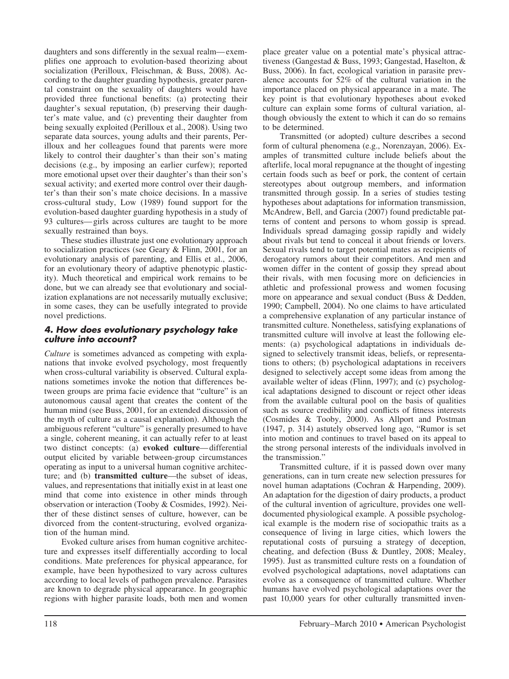daughters and sons differently in the sexual realm—exemplifies one approach to evolution-based theorizing about socialization (Perilloux, Fleischman, & Buss, 2008). According to the daughter guarding hypothesis, greater parental constraint on the sexuality of daughters would have provided three functional benefits: (a) protecting their daughter's sexual reputation, (b) preserving their daughter's mate value, and (c) preventing their daughter from being sexually exploited (Perilloux et al., 2008). Using two separate data sources, young adults and their parents, Perilloux and her colleagues found that parents were more likely to control their daughter's than their son's mating decisions (e.g., by imposing an earlier curfew); reported more emotional upset over their daughter's than their son's sexual activity; and exerted more control over their daughter's than their son's mate choice decisions. In a massive cross-cultural study, Low (1989) found support for the evolution-based daughter guarding hypothesis in a study of 93 cultures—girls across cultures are taught to be more sexually restrained than boys.

These studies illustrate just one evolutionary approach to socialization practices (see Geary & Flinn, 2001, for an evolutionary analysis of parenting, and Ellis et al., 2006, for an evolutionary theory of adaptive phenotypic plasticity). Much theoretical and empirical work remains to be done, but we can already see that evolutionary and socialization explanations are not necessarily mutually exclusive; in some cases, they can be usefully integrated to provide novel predictions.

#### *4. How does evolutionary psychology take culture into account?*

*Culture* is sometimes advanced as competing with explanations that invoke evolved psychology, most frequently when cross-cultural variability is observed. Cultural explanations sometimes invoke the notion that differences between groups are prima facie evidence that "culture" is an autonomous causal agent that creates the content of the human mind (see Buss, 2001, for an extended discussion of the myth of culture as a causal explanation). Although the ambiguous referent "culture" is generally presumed to have a single, coherent meaning, it can actually refer to at least two distinct concepts: (a) **evoked culture**—differential output elicited by variable between-group circumstances operating as input to a universal human cognitive architecture; and (b) **transmitted culture**—the subset of ideas, values, and representations that initially exist in at least one mind that come into existence in other minds through observation or interaction (Tooby & Cosmides, 1992). Neither of these distinct senses of culture, however, can be divorced from the content-structuring, evolved organization of the human mind.

Evoked culture arises from human cognitive architecture and expresses itself differentially according to local conditions. Mate preferences for physical appearance, for example, have been hypothesized to vary across cultures according to local levels of pathogen prevalence. Parasites are known to degrade physical appearance. In geographic regions with higher parasite loads, both men and women

place greater value on a potential mate's physical attractiveness (Gangestad & Buss, 1993; Gangestad, Haselton, & Buss, 2006). In fact, ecological variation in parasite prevalence accounts for 52% of the cultural variation in the importance placed on physical appearance in a mate. The key point is that evolutionary hypotheses about evoked culture can explain some forms of cultural variation, although obviously the extent to which it can do so remains to be determined.

Transmitted (or adopted) culture describes a second form of cultural phenomena (e.g., Norenzayan, 2006). Examples of transmitted culture include beliefs about the afterlife, local moral repugnance at the thought of ingesting certain foods such as beef or pork, the content of certain stereotypes about outgroup members, and information transmitted through gossip. In a series of studies testing hypotheses about adaptations for information transmission, McAndrew, Bell, and Garcia (2007) found predictable patterns of content and persons to whom gossip is spread. Individuals spread damaging gossip rapidly and widely about rivals but tend to conceal it about friends or lovers. Sexual rivals tend to target potential mates as recipients of derogatory rumors about their competitors. And men and women differ in the content of gossip they spread about their rivals, with men focusing more on deficiencies in athletic and professional prowess and women focusing more on appearance and sexual conduct (Buss & Dedden, 1990; Campbell, 2004). No one claims to have articulated a comprehensive explanation of any particular instance of transmitted culture. Nonetheless, satisfying explanations of transmitted culture will involve at least the following elements: (a) psychological adaptations in individuals designed to selectively transmit ideas, beliefs, or representations to others; (b) psychological adaptations in receivers designed to selectively accept some ideas from among the available welter of ideas (Flinn, 1997); and (c) psychological adaptations designed to discount or reject other ideas from the available cultural pool on the basis of qualities such as source credibility and conflicts of fitness interests (Cosmides & Tooby, 2000). As Allport and Postman (1947, p. 314) astutely observed long ago, "Rumor is set into motion and continues to travel based on its appeal to the strong personal interests of the individuals involved in the transmission."

Transmitted culture, if it is passed down over many generations, can in turn create new selection pressures for novel human adaptations (Cochran & Harpending, 2009). An adaptation for the digestion of dairy products, a product of the cultural invention of agriculture, provides one welldocumented physiological example. A possible psychological example is the modern rise of sociopathic traits as a consequence of living in large cities, which lowers the reputational costs of pursuing a strategy of deception, cheating, and defection (Buss & Duntley, 2008; Mealey, 1995). Just as transmitted culture rests on a foundation of evolved psychological adaptations, novel adaptations can evolve as a consequence of transmitted culture. Whether humans have evolved psychological adaptations over the past 10,000 years for other culturally transmitted inven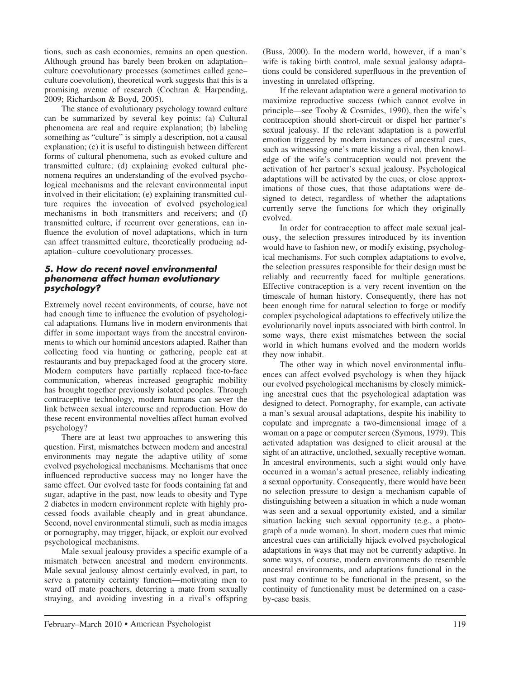tions, such as cash economies, remains an open question. Although ground has barely been broken on adaptation– culture coevolutionary processes (sometimes called gene– culture coevolution), theoretical work suggests that this is a promising avenue of research (Cochran & Harpending, 2009; Richardson & Boyd, 2005).

The stance of evolutionary psychology toward culture can be summarized by several key points: (a) Cultural phenomena are real and require explanation; (b) labeling something as "culture" is simply a description, not a causal explanation; (c) it is useful to distinguish between different forms of cultural phenomena, such as evoked culture and transmitted culture; (d) explaining evoked cultural phenomena requires an understanding of the evolved psychological mechanisms and the relevant environmental input involved in their elicitation; (e) explaining transmitted culture requires the invocation of evolved psychological mechanisms in both transmitters and receivers; and (f) transmitted culture, if recurrent over generations, can influence the evolution of novel adaptations, which in turn can affect transmitted culture, theoretically producing adaptation–culture coevolutionary processes.

#### *5. How do recent novel environmental phenomena affect human evolutionary psychology?*

Extremely novel recent environments, of course, have not had enough time to influence the evolution of psychological adaptations. Humans live in modern environments that differ in some important ways from the ancestral environments to which our hominid ancestors adapted. Rather than collecting food via hunting or gathering, people eat at restaurants and buy prepackaged food at the grocery store. Modern computers have partially replaced face-to-face communication, whereas increased geographic mobility has brought together previously isolated peoples. Through contraceptive technology, modern humans can sever the link between sexual intercourse and reproduction. How do these recent environmental novelties affect human evolved psychology?

There are at least two approaches to answering this question. First, mismatches between modern and ancestral environments may negate the adaptive utility of some evolved psychological mechanisms. Mechanisms that once influenced reproductive success may no longer have the same effect. Our evolved taste for foods containing fat and sugar, adaptive in the past, now leads to obesity and Type 2 diabetes in modern environment replete with highly processed foods available cheaply and in great abundance. Second, novel environmental stimuli, such as media images or pornography, may trigger, hijack, or exploit our evolved psychological mechanisms.

Male sexual jealousy provides a specific example of a mismatch between ancestral and modern environments. Male sexual jealousy almost certainly evolved, in part, to serve a paternity certainty function—motivating men to ward off mate poachers, deterring a mate from sexually straying, and avoiding investing in a rival's offspring (Buss, 2000). In the modern world, however, if a man's wife is taking birth control, male sexual jealousy adaptations could be considered superfluous in the prevention of investing in unrelated offspring.

If the relevant adaptation were a general motivation to maximize reproductive success (which cannot evolve in principle—see Tooby & Cosmides, 1990), then the wife's contraception should short-circuit or dispel her partner's sexual jealousy. If the relevant adaptation is a powerful emotion triggered by modern instances of ancestral cues, such as witnessing one's mate kissing a rival, then knowledge of the wife's contraception would not prevent the activation of her partner's sexual jealousy. Psychological adaptations will be activated by the cues, or close approximations of those cues, that those adaptations were designed to detect, regardless of whether the adaptations currently serve the functions for which they originally evolved.

In order for contraception to affect male sexual jealousy, the selection pressures introduced by its invention would have to fashion new, or modify existing, psychological mechanisms. For such complex adaptations to evolve, the selection pressures responsible for their design must be reliably and recurrently faced for multiple generations. Effective contraception is a very recent invention on the timescale of human history. Consequently, there has not been enough time for natural selection to forge or modify complex psychological adaptations to effectively utilize the evolutionarily novel inputs associated with birth control. In some ways, there exist mismatches between the social world in which humans evolved and the modern worlds they now inhabit.

The other way in which novel environmental influences can affect evolved psychology is when they hijack our evolved psychological mechanisms by closely mimicking ancestral cues that the psychological adaptation was designed to detect. Pornography, for example, can activate a man's sexual arousal adaptations, despite his inability to copulate and impregnate a two-dimensional image of a woman on a page or computer screen (Symons, 1979). This activated adaptation was designed to elicit arousal at the sight of an attractive, unclothed, sexually receptive woman. In ancestral environments, such a sight would only have occurred in a woman's actual presence, reliably indicating a sexual opportunity. Consequently, there would have been no selection pressure to design a mechanism capable of distinguishing between a situation in which a nude woman was seen and a sexual opportunity existed, and a similar situation lacking such sexual opportunity (e.g., a photograph of a nude woman). In short, modern cues that mimic ancestral cues can artificially hijack evolved psychological adaptations in ways that may not be currently adaptive. In some ways, of course, modern environments do resemble ancestral environments, and adaptations functional in the past may continue to be functional in the present, so the continuity of functionality must be determined on a caseby-case basis.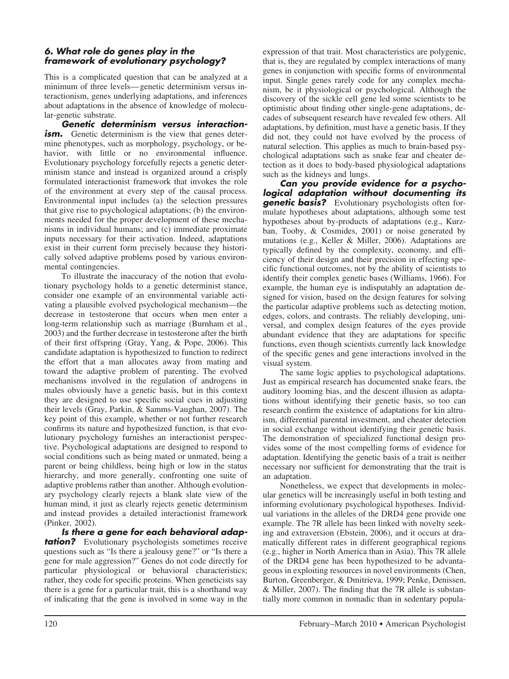#### *6. What role do genes play in the framework of evolutionary psychology?*

This is a complicated question that can be analyzed at a minimum of three levels—genetic determinism versus interactionism, genes underlying adaptations, and inferences about adaptations in the absence of knowledge of molecular-genetic substrate.

*Genetic determinism versus interactionism.* Genetic determinism is the view that genes determine phenotypes, such as morphology, psychology, or behavior, with little or no environmental influence. Evolutionary psychology forcefully rejects a genetic determinism stance and instead is organized around a crisply formulated interactionist framework that invokes the role of the environment at every step of the causal process. Environmental input includes (a) the selection pressures that give rise to psychological adaptations; (b) the environments needed for the proper development of these mechanisms in individual humans; and (c) immediate proximate inputs necessary for their activation. Indeed, adaptations exist in their current form precisely because they historically solved adaptive problems posed by various environmental contingencies.

To illustrate the inaccuracy of the notion that evolutionary psychology holds to a genetic determinist stance, consider one example of an environmental variable activating a plausible evolved psychological mechanism—the decrease in testosterone that occurs when men enter a long-term relationship such as marriage (Burnham et al., 2003) and the further decrease in testosterone after the birth of their first offspring (Gray, Yang, & Pope, 2006). This candidate adaptation is hypothesized to function to redirect the effort that a man allocates away from mating and toward the adaptive problem of parenting. The evolved mechanisms involved in the regulation of androgens in males obviously have a genetic basis, but in this context they are designed to use specific social cues in adjusting their levels (Gray, Parkin, & Samms-Vaughan, 2007). The key point of this example, whether or not further research confirms its nature and hypothesized function, is that evolutionary psychology furnishes an interactionist perspective. Psychological adaptations are designed to respond to social conditions such as being mated or unmated, being a parent or being childless, being high or low in the status hierarchy, and more generally, confronting one suite of adaptive problems rather than another. Although evolutionary psychology clearly rejects a blank slate view of the human mind, it just as clearly rejects genetic determinism and instead provides a detailed interactionist framework (Pinker, 2002).

*Is there a gene for each behavioral adap***tation?** Evolutionary psychologists sometimes receive questions such as "Is there a jealousy gene?" or "Is there a gene for male aggression?" Genes do not code directly for particular physiological or behavioral characteristics; rather, they code for specific proteins. When geneticists say there is a gene for a particular trait, this is a shorthand way of indicating that the gene is involved in some way in the

expression of that trait. Most characteristics are polygenic, that is, they are regulated by complex interactions of many genes in conjunction with specific forms of environmental input. Single genes rarely code for any complex mechanism, be it physiological or psychological. Although the discovery of the sickle cell gene led some scientists to be optimistic about finding other single-gene adaptations, decades of subsequent research have revealed few others. All adaptations, by definition, must have a genetic basis. If they did not, they could not have evolved by the process of natural selection. This applies as much to brain-based psychological adaptations such as snake fear and cheater detection as it does to body-based physiological adaptations such as the kidneys and lungs.

*Can you provide evidence for a psychological adaptation without documenting its genetic basis?* Evolutionary psychologists often formulate hypotheses about adaptations, although some test hypotheses about by-products of adaptations (e.g., Kurzban, Tooby, & Cosmides, 2001) or noise generated by mutations (e.g., Keller & Miller, 2006). Adaptations are typically defined by the complexity, economy, and efficiency of their design and their precision in effecting specific functional outcomes, not by the ability of scientists to identify their complex genetic bases (Williams, 1966). For example, the human eye is indisputably an adaptation designed for vision, based on the design features for solving the particular adaptive problems such as detecting motion, edges, colors, and contrasts. The reliably developing, universal, and complex design features of the eyes provide abundant evidence that they are adaptations for specific functions, even though scientists currently lack knowledge of the specific genes and gene interactions involved in the visual system.

The same logic applies to psychological adaptations. Just as empirical research has documented snake fears, the auditory looming bias, and the descent illusion as adaptations without identifying their genetic basis, so too can research confirm the existence of adaptations for kin altruism, differential parental investment, and cheater detection in social exchange without identifying their genetic basis. The demonstration of specialized functional design provides some of the most compelling forms of evidence for adaptation. Identifying the genetic basis of a trait is neither necessary nor sufficient for demonstrating that the trait is an adaptation.

Nonetheless, we expect that developments in molecular genetics will be increasingly useful in both testing and informing evolutionary psychological hypotheses. Individual variations in the alleles of the DRD4 gene provide one example. The 7R allele has been linked with novelty seeking and extraversion (Ebstein, 2006), and it occurs at dramatically different rates in different geographical regions (e.g., higher in North America than in Asia). This 7R allele of the DRD4 gene has been hypothesized to be advantageous in exploiting resources in novel environments (Chen, Burton, Greenberger, & Dmitrieva, 1999; Penke, Denissen, & Miller, 2007). The finding that the 7R allele is substantially more common in nomadic than in sedentary popula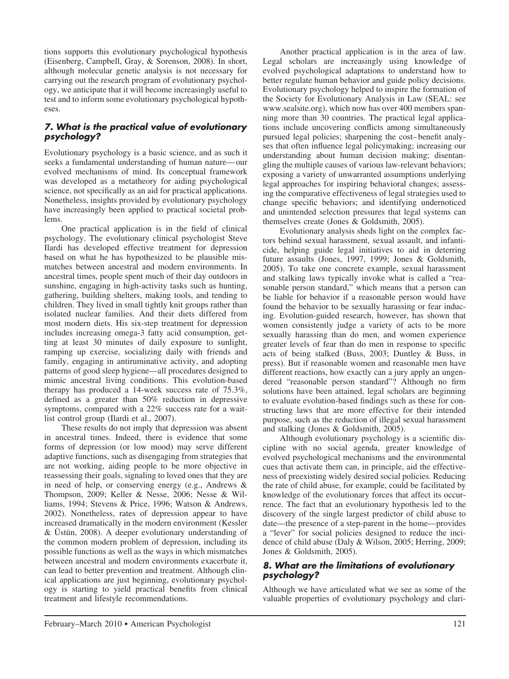tions supports this evolutionary psychological hypothesis (Eisenberg, Campbell, Gray, & Sorenson, 2008). In short, although molecular genetic analysis is not necessary for carrying out the research program of evolutionary psychology, we anticipate that it will become increasingly useful to test and to inform some evolutionary psychological hypotheses.

#### *7. What is the practical value of evolutionary psychology?*

Evolutionary psychology is a basic science, and as such it seeks a fundamental understanding of human nature—our evolved mechanisms of mind. Its conceptual framework was developed as a metatheory for aiding psychological science, not specifically as an aid for practical applications. Nonetheless, insights provided by evolutionary psychology have increasingly been applied to practical societal problems.

One practical application is in the field of clinical psychology. The evolutionary clinical psychologist Steve Ilardi has developed effective treatment for depression based on what he has hypothesized to be plausible mismatches between ancestral and modern environments. In ancestral times, people spent much of their day outdoors in sunshine, engaging in high-activity tasks such as hunting, gathering, building shelters, making tools, and tending to children. They lived in small tightly knit groups rather than isolated nuclear families. And their diets differed from most modern diets. His six-step treatment for depression includes increasing omega-3 fatty acid consumption, getting at least 30 minutes of daily exposure to sunlight, ramping up exercise, socializing daily with friends and family, engaging in antiruminative activity, and adopting patterns of good sleep hygiene—all procedures designed to mimic ancestral living conditions. This evolution-based therapy has produced a 14-week success rate of 75.3%, defined as a greater than 50% reduction in depressive symptoms, compared with a 22% success rate for a waitlist control group (Ilardi et al., 2007).

These results do not imply that depression was absent in ancestral times. Indeed, there is evidence that some forms of depression (or low mood) may serve different adaptive functions, such as disengaging from strategies that are not working, aiding people to be more objective in reassessing their goals, signaling to loved ones that they are in need of help, or conserving energy (e.g., Andrews & Thompson, 2009; Keller & Nesse, 2006; Nesse & Williams, 1994; Stevens & Price, 1996; Watson & Andrews, 2002). Nonetheless, rates of depression appear to have increased dramatically in the modern environment (Kessler  $& Üstin, 2008)$ . A deeper evolutionary understanding of the common modern problem of depression, including its possible functions as well as the ways in which mismatches between ancestral and modern environments exacerbate it, can lead to better prevention and treatment. Although clinical applications are just beginning, evolutionary psychology is starting to yield practical benefits from clinical treatment and lifestyle recommendations.

Another practical application is in the area of law. Legal scholars are increasingly using knowledge of evolved psychological adaptations to understand how to better regulate human behavior and guide policy decisions. Evolutionary psychology helped to inspire the formation of the Society for Evolutionary Analysis in Law (SEAL: see www.sealsite.org), which now has over 400 members spanning more than 30 countries. The practical legal applications include uncovering conflicts among simultaneously pursued legal policies; sharpening the cost–benefit analyses that often influence legal policymaking; increasing our understanding about human decision making; disentangling the multiple causes of various law-relevant behaviors; exposing a variety of unwarranted assumptions underlying legal approaches for inspiring behavioral changes; assessing the comparative effectiveness of legal strategies used to change specific behaviors; and identifying undernoticed and unintended selection pressures that legal systems can themselves create (Jones & Goldsmith, 2005).

Evolutionary analysis sheds light on the complex factors behind sexual harassment, sexual assault, and infanticide, helping guide legal initiatives to aid in deterring future assaults (Jones, 1997, 1999; Jones & Goldsmith, 2005). To take one concrete example, sexual harassment and stalking laws typically invoke what is called a "reasonable person standard," which means that a person can be liable for behavior if a reasonable person would have found the behavior to be sexually harassing or fear inducing. Evolution-guided research, however, has shown that women consistently judge a variety of acts to be more sexually harassing than do men, and women experience greater levels of fear than do men in response to specific acts of being stalked (Buss, 2003; Duntley & Buss, in press). But if reasonable women and reasonable men have different reactions, how exactly can a jury apply an ungendered "reasonable person standard"? Although no firm solutions have been attained, legal scholars are beginning to evaluate evolution-based findings such as these for constructing laws that are more effective for their intended purpose, such as the reduction of illegal sexual harassment and stalking (Jones & Goldsmith, 2005).

Although evolutionary psychology is a scientific discipline with no social agenda, greater knowledge of evolved psychological mechanisms and the environmental cues that activate them can, in principle, aid the effectiveness of preexisting widely desired social policies. Reducing the rate of child abuse, for example, could be facilitated by knowledge of the evolutionary forces that affect its occurrence. The fact that an evolutionary hypothesis led to the discovery of the single largest predictor of child abuse to date—the presence of a step-parent in the home—provides a "lever" for social policies designed to reduce the incidence of child abuse (Daly & Wilson, 2005; Herring, 2009; Jones & Goldsmith, 2005).

#### *8. What are the limitations of evolutionary psychology?*

Although we have articulated what we see as some of the valuable properties of evolutionary psychology and clari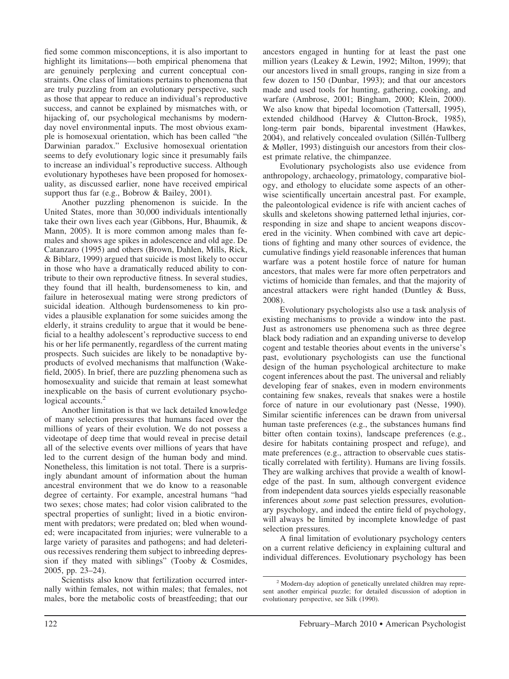fied some common misconceptions, it is also important to highlight its limitations—both empirical phenomena that are genuinely perplexing and current conceptual constraints. One class of limitations pertains to phenomena that are truly puzzling from an evolutionary perspective, such as those that appear to reduce an individual's reproductive success, and cannot be explained by mismatches with, or hijacking of, our psychological mechanisms by modernday novel environmental inputs. The most obvious example is homosexual orientation, which has been called "the Darwinian paradox." Exclusive homosexual orientation seems to defy evolutionary logic since it presumably fails to increase an individual's reproductive success. Although evolutionary hypotheses have been proposed for homosexuality, as discussed earlier, none have received empirical support thus far (e.g., Bobrow & Bailey, 2001).

Another puzzling phenomenon is suicide. In the United States, more than 30,000 individuals intentionally take their own lives each year (Gibbons, Hur, Bhaumik, & Mann, 2005). It is more common among males than females and shows age spikes in adolescence and old age. De Catanzaro (1995) and others (Brown, Dahlen, Mills, Rick, & Biblarz, 1999) argued that suicide is most likely to occur in those who have a dramatically reduced ability to contribute to their own reproductive fitness. In several studies, they found that ill health, burdensomeness to kin, and failure in heterosexual mating were strong predictors of suicidal ideation. Although burdensomeness to kin provides a plausible explanation for some suicides among the elderly, it strains credulity to argue that it would be beneficial to a healthy adolescent's reproductive success to end his or her life permanently, regardless of the current mating prospects. Such suicides are likely to be nonadaptive byproducts of evolved mechanisms that malfunction (Wakefield, 2005). In brief, there are puzzling phenomena such as homosexuality and suicide that remain at least somewhat inexplicable on the basis of current evolutionary psychological accounts.<sup>2</sup>

Another limitation is that we lack detailed knowledge of many selection pressures that humans faced over the millions of years of their evolution. We do not possess a videotape of deep time that would reveal in precise detail all of the selective events over millions of years that have led to the current design of the human body and mind. Nonetheless, this limitation is not total. There is a surprisingly abundant amount of information about the human ancestral environment that we do know to a reasonable degree of certainty. For example, ancestral humans "had two sexes; chose mates; had color vision calibrated to the spectral properties of sunlight; lived in a biotic environment with predators; were predated on; bled when wounded; were incapacitated from injuries; were vulnerable to a large variety of parasites and pathogens; and had deleterious recessives rendering them subject to inbreeding depression if they mated with siblings" (Tooby & Cosmides, 2005, pp. 23–24).

Scientists also know that fertilization occurred internally within females, not within males; that females, not males, bore the metabolic costs of breastfeeding; that our ancestors engaged in hunting for at least the past one million years (Leakey & Lewin, 1992; Milton, 1999); that our ancestors lived in small groups, ranging in size from a few dozen to 150 (Dunbar, 1993); and that our ancestors made and used tools for hunting, gathering, cooking, and warfare (Ambrose, 2001; Bingham, 2000; Klein, 2000). We also know that bipedal locomotion (Tattersall, 1995), extended childhood (Harvey & Clutton-Brock, 1985), long-term pair bonds, biparental investment (Hawkes, 2004), and relatively concealed ovulation (Sillén-Tullberg) & Møller, 1993) distinguish our ancestors from their closest primate relative, the chimpanzee.

Evolutionary psychologists also use evidence from anthropology, archaeology, primatology, comparative biology, and ethology to elucidate some aspects of an otherwise scientifically uncertain ancestral past. For example, the paleontological evidence is rife with ancient caches of skulls and skeletons showing patterned lethal injuries, corresponding in size and shape to ancient weapons discovered in the vicinity. When combined with cave art depictions of fighting and many other sources of evidence, the cumulative findings yield reasonable inferences that human warfare was a potent hostile force of nature for human ancestors, that males were far more often perpetrators and victims of homicide than females, and that the majority of ancestral attackers were right handed (Duntley & Buss, 2008).

Evolutionary psychologists also use a task analysis of existing mechanisms to provide a window into the past. Just as astronomers use phenomena such as three degree black body radiation and an expanding universe to develop cogent and testable theories about events in the universe's past, evolutionary psychologists can use the functional design of the human psychological architecture to make cogent inferences about the past. The universal and reliably developing fear of snakes, even in modern environments containing few snakes, reveals that snakes were a hostile force of nature in our evolutionary past (Nesse, 1990). Similar scientific inferences can be drawn from universal human taste preferences (e.g., the substances humans find bitter often contain toxins), landscape preferences (e.g., desire for habitats containing prospect and refuge), and mate preferences (e.g., attraction to observable cues statistically correlated with fertility). Humans are living fossils. They are walking archives that provide a wealth of knowledge of the past. In sum, although convergent evidence from independent data sources yields especially reasonable inferences about *some* past selection pressures, evolutionary psychology, and indeed the entire field of psychology, will always be limited by incomplete knowledge of past selection pressures.

A final limitation of evolutionary psychology centers on a current relative deficiency in explaining cultural and individual differences. Evolutionary psychology has been

<sup>2</sup> Modern-day adoption of genetically unrelated children may represent another empirical puzzle; for detailed discussion of adoption in evolutionary perspective, see Silk (1990).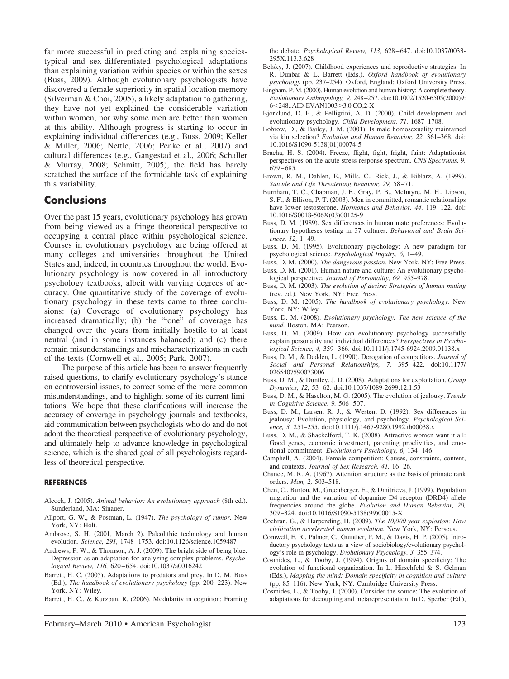far more successful in predicting and explaining speciestypical and sex-differentiated psychological adaptations than explaining variation within species or within the sexes (Buss, 2009). Although evolutionary psychologists have discovered a female superiority in spatial location memory (Silverman & Choi, 2005), a likely adaptation to gathering, they have not yet explained the considerable variation within women, nor why some men are better than women at this ability. Although progress is starting to occur in explaining individual differences (e.g., Buss, 2009; Keller & Miller, 2006; Nettle, 2006; Penke et al., 2007) and cultural differences (e.g., Gangestad et al., 2006; Schaller & Murray, 2008; Schmitt, 2005), the field has barely scratched the surface of the formidable task of explaining this variability.

### **Conclusions**

Over the past 15 years, evolutionary psychology has grown from being viewed as a fringe theoretical perspective to occupying a central place within psychological science. Courses in evolutionary psychology are being offered at many colleges and universities throughout the United States and, indeed, in countries throughout the world. Evolutionary psychology is now covered in all introductory psychology textbooks, albeit with varying degrees of accuracy. One quantitative study of the coverage of evolutionary psychology in these texts came to three conclusions: (a) Coverage of evolutionary psychology has increased dramatically; (b) the "tone" of coverage has changed over the years from initially hostile to at least neutral (and in some instances balanced); and (c) there remain misunderstandings and mischaracterizations in each of the texts (Cornwell et al., 2005; Park, 2007).

The purpose of this article has been to answer frequently raised questions, to clarify evolutionary psychology's stance on controversial issues, to correct some of the more common misunderstandings, and to highlight some of its current limitations. We hope that these clarifications will increase the accuracy of coverage in psychology journals and textbooks, aid communication between psychologists who do and do not adopt the theoretical perspective of evolutionary psychology, and ultimately help to advance knowledge in psychological science, which is the shared goal of all psychologists regardless of theoretical perspective.

#### **REFERENCES**

- Alcock, J. (2005). *Animal behavior: An evolutionary approach* (8th ed.). Sunderland, MA: Sinauer.
- Allport, G. W., & Postman, L. (1947). *The psychology of rumor.* New York, NY: Holt.
- Ambrose, S. H. (2001, March 2). Paleolithic technology and human evolution. *Science, 291,* 1748–1753. doi:10.1126/science.1059487
- Andrews, P. W., & Thomson, A. J. (2009). The bright side of being blue: Depression as an adaptation for analyzing complex problems. *Psychological Review, 116,* 620–654. doi:10.1037/a0016242
- Barrett, H. C. (2005). Adaptations to predators and prey. In D. M. Buss (Ed.), *The handbook of evolutionary psychology* (pp. 200–223). New York, NY: Wiley.
- Barrett, H. C., & Kurzban, R. (2006). Modularity in cognition: Framing

the debate. *Psychological Review, 113,* 628–647. doi:10.1037/0033- 295X.113.3.628

- Belsky, J. (2007). Childhood experiences and reproductive strategies. In R. Dunbar & L. Barrett (Eds.), *Oxford handbook of evolutionary psychology* (pp. 237–254). Oxford, England: Oxford University Press.
- Bingham, P. M. (2000). Human evolution and human history: A complete theory. *Evolutionary Anthropology, 9,* 248–257. doi:10.1002/1520-6505(2000)9: 6<248::AID-EVAN1003>3.0.CO;2-X
- Bjorklund, D. F., & Pelligrini, A. D. (2000). Child development and evolutionary psychology. *Child Development, 71,* 1687–1708.
- Bobrow, D., & Bailey, J. M. (2001). Is male homosexuality maintained via kin selection? *Evolution and Human Behavior, 22,* 361–368. doi: 10.1016/S1090-5138(01)00074-5
- Bracha, H. S. (2004). Freeze, flight, fight, fright, faint: Adaptationist perspectives on the acute stress response spectrum. *CNS Spectrums, 9,* 679–685.
- Brown, R. M., Dahlen, E., Mills, C., Rick, J., & Biblarz, A. (1999). *Suicide and Life Threatening Behavior, 29,* 58–71.
- Burnham, T. C., Chapman, J. F., Gray, P. B., McIntyre, M. H., Lipson, S. F., & Ellison, P. T. (2003). Men in committed, romantic relationships have lower testosterone. *Hormones and Behavior, 44,* 119–122. doi: 10.1016/S0018-506X(03)00125-9
- Buss, D. M. (1989). Sex differences in human mate preferences: Evolutionary hypotheses testing in 37 cultures. *Behavioral and Brain Sciences, 12,* 1–49.
- Buss, D. M. (1995). Evolutionary psychology: A new paradigm for psychological science. *Psychological Inquiry, 6,* 1–49.
- Buss, D. M. (2000). *The dangerous passion.* New York, NY: Free Press. Buss, D. M. (2001). Human nature and culture: An evolutionary psycho-
- logical perspective. *Journal of Personality, 69,* 955–978. Buss, D. M. (2003). *The evolution of desire: Strategies of human mating*
- (rev. ed.). New York, NY: Free Press.
- Buss, D. M. (2005). *The handbook of evolutionary psychology.* New York, NY: Wiley.
- Buss, D. M. (2008). *Evolutionary psychology: The new science of the mind.* Boston, MA: Pearson.
- Buss, D. M. (2009). How can evolutionary psychology successfully explain personality and individual differences? *Perspectives in Psychological Science, 4,* 359–366. doi:10.1111/j.1745-6924.2009.01138.x
- Buss, D. M., & Dedden, L. (1990). Derogation of competitors. *Journal of Social and Personal Relationships, 7,* 395–422. doi:10.1177/ 0265407590073006
- Buss, D. M., & Duntley, J. D. (2008). Adaptations for exploitation. *Group Dynamics, 12,* 53–62. doi:10.1037/1089-2699.12.1.53
- Buss, D. M., & Haselton, M. G. (2005). The evolution of jealousy. *Trends in Cognitive Science, 9,* 506–507.
- Buss, D. M., Larsen, R. J., & Westen, D. (1992). Sex differences in jealousy: Evolution, physiology, and psychology. *Psychological Science, 3,* 251–255. doi:10.1111/j.1467-9280.1992.tb00038.x
- Buss, D. M., & Shackelford, T. K. (2008). Attractive women want it all: Good genes, economic investment, parenting proclivities, and emotional commitment. *Evolutionary Psychology, 6,* 134–146.
- Campbell, A. (2004). Female competition: Causes, constraints, content, and contexts. *Journal of Sex Research, 41,* 16–26.
- Chance, M. R. A. (1967). Attention structure as the basis of primate rank orders. *Man, 2,* 503–518.
- Chen, C., Burton, M., Greenberger, E., & Dmitrieva, J. (1999). Population migration and the variation of dopamine D4 receptor (DRD4) allele frequencies around the globe. *Evolution and Human Behavior, 20,* 309–324. doi:10.1016/S1090-5138(99)00015-X
- Cochran, G., & Harpending, H. (2009). *The 10,000 year explosion: How civilization accelerated human evolution.* New York, NY: Perseus.
- Cornwell, E. R., Palmer, C., Guinther, P. M., & Davis, H. P. (2005). Introductory psychology texts as a view of sociobiology/evolutionary psychology's role in psychology. *Evolutionary Psychology, 3,* 355–374.
- Cosmides, L., & Tooby, J. (1994). Origins of domain specificity: The evolution of functional organization. In L. Hirschfeld & S. Gelman (Eds.), *Mapping the mind: Domain specificity in cognition and culture* (pp. 85–116). New York, NY: Cambridge University Press.
- Cosmides, L., & Tooby, J. (2000). Consider the source: The evolution of adaptations for decoupling and metarepresentation. In D. Sperber (Ed.),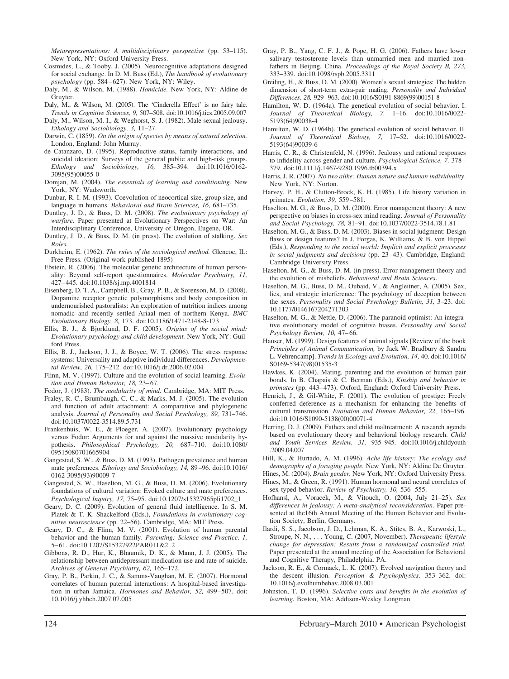*Metarepresentations: A multidisciplinary perspective* (pp. 53–115). New York, NY: Oxford University Press.

- Cosmides, L., & Tooby, J. (2005). Neurocognitive adaptations designed for social exchange. In D. M. Buss (Ed.), *The handbook of evolutionary psychology* (pp. 584–627). New York, NY: Wiley.
- Daly, M., & Wilson, M. (1988). *Homicide.* New York, NY: Aldine de Gruyter.
- Daly, M., & Wilson, M. (2005). The 'Cinderella Effect' is no fairy tale. *Trends in Cognitive Sciences, 9,* 507–508. doi:10.1016/j.tics.2005.09.007
- Daly, M., Wilson, M. I., & Weghorst, S. J. (1982). Male sexual jealousy. *Ethology and Sociobiology, 3,* 11–27.
- Darwin, C. (1859). *On the origin of species by means of natural selection.* London, England: John Murray.
- de Catanzaro, D. (1995). Reproductive status, family interactions, and suicidal ideation: Surveys of the general public and high-risk groups. *Ethology and Sociobiology, 16,* 385–394. doi:10.1016/0162- 3095(95)00055-0
- Domjan, M. (2004). *The essentials of learning and conditioning.* New York, NY: Wadsworth.
- Dunbar, R. I. M. (1993). Coevolution of neocortical size, group size, and language in humans. *Behavioral and Brain Sciences, 16,* 681–735.
- Duntley, J. D., & Buss, D. M. (2008). *The evolutionary psychology of warfare.* Paper presented at Evolutionary Perspectives on War: An Interdisciplinary Conference, University of Oregon, Eugene, OR.
- Duntley, J. D., & Buss, D. M. (in press). The evolution of stalking. *Sex Roles.*
- Durkheim, E. (1962). *The rules of the sociological method.* Glencoe, IL: Free Press. (Original work published 1895)
- Ebstein, R. (2006). The molecular genetic architecture of human personality: Beyond self-report questionnaires. *Molecular Psychiatry, 11,* 427–445. doi:10.1038/sj.mp.4001814
- Eisenberg, D. T. A., Campbell, B., Gray, P. B., & Sorenson, M. D. (2008). Dopamine receptor genetic polymorphisms and body composition in undernourished pastoralists: An exploration of nutrition indices among nomadic and recently settled Ariaal men of northern Kenya. *BMC Evolutionary Biology, 8,* 173. doi:10.1186/1471-2148-8-173
- Ellis, B. J., & Bjorklund, D. F. (2005). *Origins of the social mind: Evolutionary psychology and child development.* New York, NY: Guilford Press.
- Ellis, B. J., Jackson, J. J., & Boyce, W. T. (2006). The stress response systems: Universality and adaptive individual differences. *Developmental Review, 26,* 175–212. doi:10.1016/j.dr.2006.02.004
- Flinn, M. V. (1997). Culture and the evolution of social learning. *Evolution and Human Behavior, 18,* 23–67.
- Fodor, J. (1983). *The modularity of mind.* Cambridge, MA: MIT Press.
- Fraley, R. C., Brumbaugh, C. C., & Marks, M. J. (2005). The evolution and function of adult attachment: A comparative and phylogenetic analysis. *Journal of Personality and Social Psychology, 89,* 731–746. doi:10.1037/0022-3514.89.5.731
- Frankenhuis, W. E., & Ploeger, A. (2007). Evolutionary psychology versus Fodor: Arguments for and against the massive modularity hypothesis. *Philosophical Psychology, 20,* 687–710. doi:10.1080/ 09515080701665904
- Gangestad, S. W., & Buss, D. M. (1993). Pathogen prevalence and human mate preferences. *Ethology and Sociobiology, 14,* 89–96. doi:10.1016/ 0162-3095(93)90009-7
- Gangestad, S. W., Haselton, M. G., & Buss, D. M. (2006). Evolutionary foundations of cultural variation: Evoked culture and mate preferences. *Psychological Inquiry, 17,* 75–95. doi:10.1207/s15327965pli1702\_1
- Geary, D. C. (2009). Evolution of general fluid intelligence. In S. M. Platek & T. K. Shackelford (Eds.), *Foundations in evolutionary cognitive neuroscience* (pp. 22–56). Cambridge, MA: MIT Press.
- Geary, D. C., & Flinn, M. V. (2001). Evolution of human parental behavior and the human family. *Parenting: Science and Practice, 1,* 5–61. doi:10.1207/S15327922PAR011&2\_2
- Gibbons, R. D., Hur, K., Bhaumik, D. K., & Mann, J. J. (2005). The relationship between antidepressant medication use and rate of suicide. *Archives of General Psychiatry, 62,* 165–172.
- Gray, P. B., Parkin, J. C., & Samms-Vaughan, M. E. (2007). Hormonal correlates of human paternal interactions: A hospital-based investigation in urban Jamaica. *Hormones and Behavior, 52,* 499–507. doi: 10.1016/j.yhbeh.2007.07.005
- Gray, P. B., Yang, C. F. J., & Pope, H. G. (2006). Fathers have lower salivary testosterone levels than unmarried men and married nonfathers in Beijing, China. *Proceedings of the Royal Society B, 273,* 333–339. doi:10.1098/rspb.2005.3311
- Greiling, H., & Buss, D. M. (2000). Women's sexual strategies: The hidden dimension of short-term extra-pair mating. *Personality and Individual Differences, 28,* 929–963. doi:10.1016/S0191-8869(99)00151-8
- Hamilton, W. D. (1964a). The genetical evolution of social behavior. I. *Journal of Theoretical Biology, 7,* 1–16. doi:10.1016/0022- 5193(64)90038-4
- Hamilton, W. D. (1964b). The genetical evolution of social behavior. II. *Journal of Theoretical Biology, 7,* 17–52. doi:10.1016/0022- 5193(64)90039-6
- Harris, C. R., & Christenfeld, N. (1996). Jealousy and rational responses to infidelity across gender and culture. *Psychological Science, 7,* 378– 379. doi:10.1111/j.1467-9280.1996.tb00394.x
- Harris, J. R. (2007). *No two alike: Human nature and human individuality*. New York, NY: Norton.
- Harvey, P. H., & Clutton-Brock, K. H. (1985). Life history variation in primates. *Evolution, 39,* 559–581.
- Haselton, M. G., & Buss, D. M. (2000). Error management theory: A new perspective on biases in cross-sex mind reading. *Journal of Personality and Social Psychology, 78,* 81–91. doi:10.1037/0022-3514.78.1.81
- Haselton, M. G., & Buss, D. M. (2003). Biases in social judgment: Design flaws or design features? In J. Forgas, K. Williams, & B. von Hippel (Eds.), *Responding to the social world: Implicit and explicit processes in social judgments and decisions* (pp. 23–43). Cambridge, England: Cambridge University Press.
- Haselton, M. G., & Buss, D. M. (in press). Error management theory and the evolution of misbeliefs. *Behavioral and Brain Sciences*.
- Haselton, M. G., Buss, D. M., Oubaid, V., & Angleitner, A. (2005). Sex, lies, and strategic interference: The psychology of deception between the sexes. *Personality and Social Psychology Bulletin, 31,* 3–23. doi: 10.1177/0146167204271303
- Haselton, M. G., & Nettle, D. (2006). The paranoid optimist: An integrative evolutionary model of cognitive biases. *Personality and Social Psychology Review, 10,* 47–66.
- Hauser, M. (1999). Design features of animal signals [Review of the book *Principles of Animal Communication,* by Jack W. Bradbury & Sandra L. Vehrencamp]. *Trends in Ecology and Evolution, 14,* 40. doi:10.1016/ S0169-5347(98)01535-3
- Hawkes, K. (2004). Mating, parenting and the evolution of human pair bonds. In B. Chapais & C. Berman (Eds.), *Kinship and behavior in primates* (pp. 443–473). Oxford, England: Oxford University Press.
- Henrich, J., & Gil-White, F. (2001). The evolution of prestige: Freely conferred deference as a mechanism for enhancing the benefits of cultural transmission. *Evolution and Human Behavior, 22,* 165–196. doi:10.1016/S1090-5138(00)00071-4
- Herring, D. J. (2009). Fathers and child maltreatment: A research agenda based on evolutionary theory and behavioral biology research. *Child and Youth Services Review, 31,* 935–945. doi:10.1016/j.childyouth .2009.04.007
- Hill, K., & Hurtado, A. M. (1996). *Ache life history: The ecology and demography of a foraging people.* New York, NY: Aldine De Gruyter.
- Hines, M. (2004). *Brain gender.* New York, NY: Oxford University Press. Hines, M., & Green, R. (1991). Human hormonal and neural correlates of sex-typed behavior. *Review of Psychiatry, 10,* 536–555.
- Hofhansl, A., Voracek, M., & Vitouch, O. (2004, July 21–25). *Sex differences in jealousy: A meta-analytical reconsideration.* Paper presented at the16th Annual Meeting of the Human Behavior and Evolution Society, Berlin, Germany.
- Ilardi, S. S., Jacobson, J. D., Lehman, K. A., Stites, B. A., Karwoski, L., Stroupe, N. N., . . . Young, C. (2007, November). *Therapeutic lifestyle change for depression: Results from a randomized controlled trial.* Paper presented at the annual meeting of the Association for Behavioral and Cognitive Therapy, Philadelphia, PA.
- Jackson, R. E., & Cormack, L. K. (2007). Evolved navigation theory and the descent illusion. *Perception & Psychophysics,* 353–362. doi: 10.1016/j.evolhumbehav.2008.03.001
- Johnston, T. D. (1996). *Selective costs and benefits in the evolution of learning.* Boston, MA: Addison-Wesley Longman.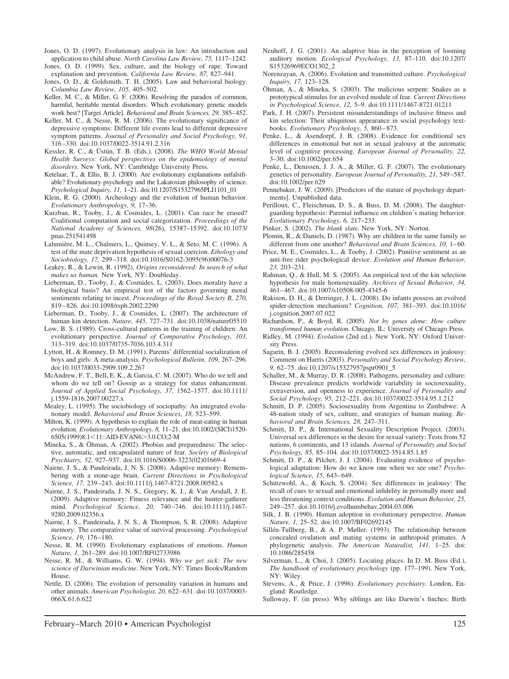Jones, O. D. (1997). Evolutionary analysis in law: An introduction and application to child abuse. *North Carolina Law Review, 75,* 1117–1242.

- Jones, O. D. (1999). Sex, culture, and the biology of rape: Toward explanation and prevention. *California Law Review, 87,* 827–941.
- Jones, O. D., & Goldsmith, T. H. (2005). Law and behavioral biology. *Columbia Law Review, 105,* 405–502.
- Keller, M. C., & Miller, G. F. (2006). Resolving the paradox of common, harmful, heritable mental disorders: Which evolutionary genetic models work best? [Target Article]. *Behavioral and Brain Sciences, 29,* 385–452.
- Keller, M. C., & Nesse, R. M. (2006). The evolutionary significance of depressive symptoms: Different life events lead to different depressive symptom patterns. *Journal of Personality and Social Psychology, 91,* 316–330. doi:10.1037/0022-3514.91.2.316
- Kessler, R. C., & Üstün, T. B. (Eds.). (2008). *The WHO World Mental Health Surveys: Global perspectives on the epidemiology of mental disorders.* New York, NY: Cambridge University Press.
- Ketelaar, T., & Ellis, B. J. (2000). Are evolutionary explanations unfalsifiable? Evolutionary psychology and the Lakatosian philosophy of science. *Psychological Inquiry, 11,* 1–21. doi:10.1207/S15327965PLI1101\_01
- Klein, R. G. (2000). Archeology and the evolution of human behavior. *Evolutionary Anthropology, 9,* 17–36.
- Kurzban, R., Tooby, J., & Cosmides, L. (2001). Can race be erased? Coalitional computation and social categorization. *Proceedings of the National Academy of Sciences, 98*(26), 15387–15392. doi:10.1073/ pnas.251541498
- Lalumière, M. L., Chalmers, L., Quinsey, V. L., & Seto, M. C. (1996). A test of the mate deprivation hypothesis of sexual coercion. *Ethology and Sociobiology, 17,* 299–318. doi:10.1016/S0162-3095(96)00076-3
- Leakey, R., & Lewin, R. (1992). *Origins reconsidered: In search of what makes us human.* New York, NY: Doubleday.
- Lieberman, D., Tooby, J., & Cosmides, L. (2003). Does morality have a biological basis? An empirical test of the factors governing moral sentiments relating to incest. *Proceedings of the Royal Society B, 270,* 819–826. doi:10.1098/rspb.2002.2290
- Lieberman, D., Tooby, J., & Cosmides, L. (2007). The architecture of human kin detection. *Nature, 445,* 727–731. doi:10.1038/nature05510
- Low, B. S. (1989). Cross-cultural patterns in the training of children: An evolutionary perspective. *Journal of Comparative Psychology, 103,* 313–319. doi:10.1037/0735-7036.103.4.311
- Lytton, H., & Romney, D. M. (1991). Parents' differential socialization of boys and girls: A meta-analysis. *Psychological Bulletin, 109,* 267–296. doi:10.1037/0033-2909.109.2.267
- McAndrew, F. T., Bell, E. K., & Garcia, C. M. (2007). Who do we tell and whom do we tell on? Gossip as a strategy for status enhancement. *Journal of Applied Social Psychology, 37,* 1562–1577. doi:10.1111/ j.1559-1816.2007.00227.x
- Mealey, L. (1995). The sociobiology of sociopathy: An integrated evolutionary model. *Behavioral and Brain Sciences, 18,* 523–599.
- Milton, K. (1999). A hypothesis to explain the role of meat-eating in human evolution. *Evolutionary Anthropology, 8,* 11–21. doi:10.1002/(SICI)1520- 6505(1999)8:1<11::AID-EVAN6>3.0.CO;2-M
- Mineka, S., & Öhman, A. (2002). Phobias and preparedness: The selective, automatic, and encapsulated nature of fear. *Society of Biological Psychiatry, 52,* 927–937. doi:10.1016/S0006-3223(02)01669-4
- Nairne, J. S., & Pandeirada, J. N. S. (2008). Adaptive memory: Remembering with a stone-age brain. *Current Directions in Psychological Science, 17,* 239–243. doi:10.1111/j.1467-8721.2008.00582.x
- Nairne, J. S., Pandeirada, J. N. S., Gregory, K. J., & Van Arsdall, J. E. (2009). Adaptive memory: Fitness relevance and the hunter-gatherer mind. *Psychological Science, 20,* 740–746. doi:10.1111/j.1467- 9280.2009.02356.x
- Nairne, J. S., Pandeirada, J. N. S., & Thompson, S. R. (2008). Adaptive memory: The comparative value of survival processing. *Psychological Science, 19,* 176–180.
- Nesse, R. M. (1990). Evolutionary explanations of emotions. *Human Nature, 1,* 261–289. doi:10.1007/BF02733986
- Nesse, R. M., & Williams, G. W. (1994). *Why we get sick: The new science of Darwinian medicine*. New York, NY: Times Books/Random House.
- Nettle, D. (2006). The evolution of personality variation in humans and other animals. *American Psychologist, 20,* 622–631. doi:10.1037/0003- 066X.61.6.622
- Neuhoff, J. G. (2001). An adaptive bias in the perception of looming auditory motion. *Ecological Psychology, 13,* 87–110. doi:10.1207/ S15326969ECO1302\_2
- Norenzayan, A. (2006). Evolution and transmitted culture. *Psychological Inquiry, 17,* 123–128.
- Öhman, A., & Mineka, S. (2003). The malicious serpent: Snakes as a prototypical stimulus for an evolved module of fear. *Current Directions in Psychological Science, 12,* 5–9. doi:10.1111/1467-8721.01211
- Park, J. H. (2007). Persistent misunderstandings of inclusive fitness and kin selection: Their ubiquitous appearance in social psychology textbooks. *Evolutionary Psychology, 5,* 860–873.
- Penke, L., & Asendorpf, J. B. (2008). Evidence for conditional sex differences in emotional but not in sexual jealousy at the automatic level of cognitive processing. *European Journal of Personality, 22,* 3–30. doi:10.1002/per.654
- Penke, L., Denissen, J. J. A., & Miller, G. F. (2007). The evolutionary genetics of personality. *European Journal of Personality, 21,* 549–587. doi:10.1002/per.629
- Pennebaker, J. W. (2009). [Predictors of the stature of psychology departments]. Unpublished data.
- Perilloux, C., Fleischman, D. S., & Buss, D. M. (2008). The daughterguarding hypothesis: Parental influence on children's mating behavior. *Evolutionary Psychology, 6,* 217–233.
- Pinker, S. (2002). *The blank slate.* New York, NY: Norton.
- Plomin, R., & Daniels, D. (1987). Why are children in the same family so different from one another? *Behavioral and Brain Sciences, 10,* 1–60.
- Price, M. E., Cosmides, L., & Tooby, J. (2002). Punitive sentiment as an anti-free rider psychological device. *Evolution and Human Behavior, 23,* 203–231.
- Rahman, Q., & Hull, M. S. (2005). An empirical test of the kin selection hypothesis for male homosexuality. *Archives of Sexual Behavior, 34,* 461–467. doi:10.1007/s10508-005-4345-6
- Rakison, D. H., & Derringer, J. L. (2008). Do infants possess an evolved spider-detection mechanism? *Cognition, 107,* 381–393. doi:10.1016/ j.cognition.2007.07.022
- Richardson, P., & Boyd, R. (2005). *Not by genes alone: How culture transformed human evolution.* Chicago, IL: University of Chicago Press.
- Ridley, M. (1994). *Evolution* (2nd ed.). New York, NY: Oxford University Press.
- Sagarin, B. J. (2005). Reconsidering evolved sex differences in jealousy: Comment on Harris (2003). *Personality and Social Psychology Review, 9,* 62–75. doi:10.1207/s15327957pspr0901\_5
- Schaller, M., & Murray, D. R. (2008). Pathogens, personality and culture: Disease prevalence predicts worldwide variability in sociosexuality, extraversion, and openness to experience. *Journal of Personality and Social Psychology, 95,* 212–221. doi:10.1037/0022-3514.95.1.212
- Schmitt, D. P. (2005). Sociosexuality from Argentina to Zimbabwe: A 48-nation study of sex, culture, and strategies of human mating. *Behavioral and Brain Sciences, 28,* 247–311.
- Schmitt, D. P., & International Sexuality Description Project. (2003). Universal sex differences in the desire for sexual variety: Tests from 52 nations, 6 continents, and 13 islands. *Journal of Personality and Social Psychology, 85,* 85–104. doi:10.1037/0022-3514.85.1.85
- Schmitt, D. P., & Pilcher, J. J. (2004). Evaluating evidence of psychological adaptation: How do we know one when we see one? *Psychological Science, 15,* 643–649.
- Schützwohl, A., & Koch, S. (2004). Sex differences in jealousy: The recall of cues to sexual and emotional infidelity in personally more and less threatening context conditions. *Evolution and Human Behavior, 25,* 249–257. doi:10.1016/j.evolhumbehav.2004.03.006
- Silk, J. B. (1990). Human adoption in evolutionary perspective. *Human Nature, 1,* 25–52. doi:10.1007/BF02692145
- Sillén-Tullberg, B., & A. P. Møller. (1993). The relationship between concealed ovulation and mating systems in anthropoid primates. A phylogenetic analysis. *The American Naturalist, 141,* 1–25. doi: 10.1086/285458
- Silverman, L., & Choi, J. (2005). Locating places. In D. M. Buss (Ed.), *The handbook of evolutionary psychology* (pp. 177–199). New York, NY: Wiley.
- Stevens, A., & Price, J. (1996). *Evolutionary psychiatry.* London, England: Routledge.
- Sulloway, F. (in press). Why siblings are like Darwin's finches: Birth